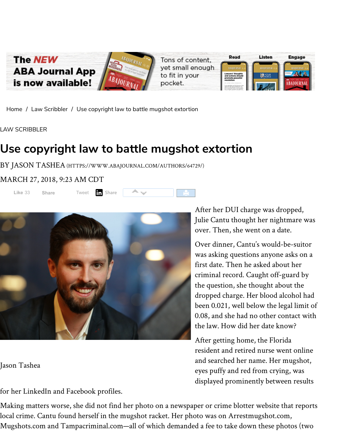

[Home](https://www.abajournal.com/) / Law [Scribbler](https://www.abajournal.com/lawscribbler/) / Use copyright law to battle mugshot extortion

LAW SCRIBBLER

## **Use copyright law to battle mugshot extortion**

BY JASON TASHEA[\(HTTPS://WWW.ABAJOURNAL.COM/AUTHORS/64729/\)](https://www.abajournal.com/authors/64729/)

## MARCH 27, 2018, 9:23 AM CDT





Jason Tashea

for her LinkedIn and Facebook profiles.

After her DUI charge was dropped, Julie Cantu thought her nightmare was over. Then, she went on a date.

Over dinner, Cantu's would-be-suitor was asking questions anyone asks on a first date. Then he asked about her criminal record. Caught off-guard by the question, she thought about the dropped charge. Her blood alcohol had been 0.021, well below the legal limit of 0.08, and she had no other contact with the law. How did her date know?

After getting home, the Florida resident and retired nurse went online and searched her name. Her mugshot, eyes puffy and red from crying, was displayed prominently between results

Making matters worse, she did not find her photo on a newspaper or crime blotter website that reports local crime. Cantu found herself in the mugshot racket. Her photo was on Arrestmugshot.com, Mugshots.com and Tampacriminal.com—all of which demanded a fee to take down these photos (two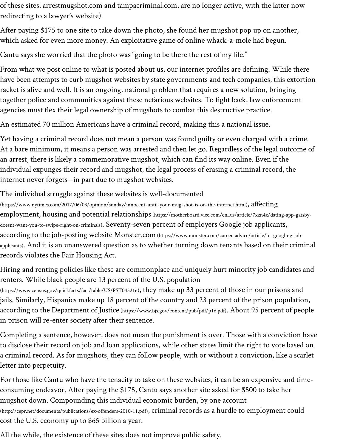of these sites, arrestmugshot.com and tampacriminal.com, are no longer active, with the latter now redirecting to a lawyer's website).

After paying \$175 to one site to take down the photo, she found her mugshot pop up on another, which asked for even more money. An exploitative game of online whack-a-mole had begun.

Cantu says she worried that the photo was "going to be there the rest of my life."

From what we post online to what is posted about us, our internet profiles are defining. While there have been attempts to curb mugshot websites by state governments and tech companies, this extortion racket is alive and well. It is an ongoing, national problem that requires a new solution, bringing together police and communities against these nefarious websites. To fight back, law enforcement agencies must flex their legal ownership of mugshots to combat this destructive practice.

An estimated 70 million Americans have a criminal record, making this a national issue.

Yet having a criminal record does not mean a person was found guilty or even charged with a crime. At a bare minimum, it means a person was arrested and then let go. Regardless of the legal outcome of an arrest, there is likely a commemorative mugshot, which can find its way online. Even if the individual expunges their record and mugshot, the legal process of erasing a criminal record, the internet never forgets—in part due to mugshot websites.

The individual struggle against these websites is well-documented

[\(https://www.nytimes.com/2017/06/03/opinion/sunday/innocent-until-your-mug-shot-is-on-the-internet.html\)](https://www.nytimes.com/2017/06/03/opinion/sunday/innocent-until-your-mug-shot-is-on-the-internet.html),  $\operatorname{afterting}$ employment, housing and potential relationships[\(https://motherboard.vice.com/en\\_us/article/7xzn4x/dating-app-gatsby](https://motherboard.vice.com/en_us/article/7xzn4x/dating-app-gatsby-doesnt-want-you-to-swipe-right-on-criminals)doesnt-want-you-to-swipe-right-on-criminals). Seventy-seven percent of employers Google job applicants, according to the job-posting website Monster.com [\(https://www.monster.com/career-advice/article/hr-googling-job](https://www.monster.com/career-advice/article/hr-googling-job-applicants)applicants). And it is an unanswered question as to whether turning down tenants based on their criminal records violates the Fair Housing Act.

Hiring and renting policies like these are commonplace and uniquely hurt minority job candidates and renters. While black people are 13 percent of the U.S. population

[\(https://www.census.gov/quickfacts/fact/table/US/PST045216\)](https://www.census.gov/quickfacts/fact/table/US/PST045216), they make up 33 percent of those in our prisons and jails. Similarly, Hispanics make up 18 percent of the country and 23 percent of the prison population, according to the Department of Justice [\(https://www.bjs.gov/content/pub/pdf/p16.pdf\)](https://www.bjs.gov/content/pub/pdf/p16.pdf). About 95 percent of people in prison will re-enter society after their sentence.

Completing a sentence, however, does not mean the punishment is over. Those with a conviction have to disclose their record on job and loan applications, while other states limit the right to vote based on a criminal record. As for mugshots, they can follow people, with or without a conviction, like a scarlet letter into perpetuity.

For those like Cantu who have the tenacity to take on these websites, it can be an expensive and timeconsuming endeavor. After paying the \$175, Cantu says another site asked for \$500 to take her mugshot down. Compounding this individual economic burden, by one account [\(http://cepr.net/documents/publications/ex-offenders-2010-11.pdf\)](http://cepr.net/documents/publications/ex-offenders-2010-11.pdf), criminal records as a hurdle to employment could cost the U.S. economy up to \$65 billion a year.

All the while, the existence of these sites does not improve public safety.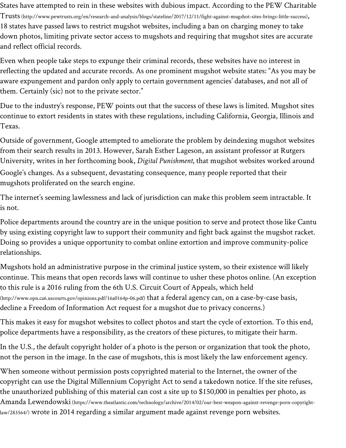States have attempted to rein in these websites with dubious impact. According to the PEW Charitable Trusts[\(http://www.pewtrusts.org/en/research-and-analysis/blogs/stateline/2017/12/11/fight-against-mugshot-sites-brings-little-success\)](http://www.pewtrusts.org/en/research-and-analysis/blogs/stateline/2017/12/11/fight-against-mugshot-sites-brings-little-success), 18 states have passed laws to restrict mugshot websites, including a ban on charging money to take down photos, limiting private sector access to mugshots and requiring that mugshot sites are accurate and reflect official records.

Even when people take steps to expunge their criminal records, these websites have no interest in reflecting the updated and accurate records. As one prominent mugshot website states: "As you may be aware expungement and pardon only apply to certain government agencies' databases, and not all of them. Certainly (sic) not to the private sector."

Due to the industry's response, PEW points out that the success of these laws is limited. Mugshot sites continue to extort residents in states with these regulations, including California, Georgia, Illinois and Texas.

Outside of government, Google attempted to ameliorate the problem by deindexing mugshot websites from their search results in 2013. However, Sarah Esther Lageson, an assistant professor at Rutgers University, writes in her forthcoming book, *Digital Punishment*, that mugshot websites worked around Google's changes. As a subsequent, devastating consequence, many people reported that their mugshots proliferated on the search engine.

The internet's seeming lawlessness and lack of jurisdiction can make this problem seem intractable. It is not.

Police departments around the country are in the unique position to serve and protect those like Cantu by using existing copyright law to support their community and fight back against the mugshot racket. Doing so provides a unique opportunity to combat online extortion and improve community-police relationships.

Mugshots hold an administrative purpose in the criminal justice system, so their existence will likely continue. This means that open records laws will continue to usher these photos online. (An exception to this rule is a 2016 ruling from the 6th U.S. Circuit Court of Appeals, which held [\(http://www.opn.ca6.uscourts.gov/opinions.pdf/16a0164p-06.pdf\)](http://www.opn.ca6.uscourts.gov/opinions.pdf/16a0164p-06.pdf) that a federal agency can, on a case-by-case basis, decline a Freedom of Information Act request for a mugshot due to privacy concerns.)

This makes it easy for mugshot websites to collect photos and start the cycle of extortion. To this end, police departments have a responsibility, as the creators of these pictures, to mitigate their harm.

In the U.S., the default copyright holder of a photo is the person or organization that took the photo, not the person in the image. In the case of mugshots, this is most likely the law enforcement agency.

When someone without permission posts copyrighted material to the Internet, the owner of the copyright can use the Digital Millennium Copyright Act to send a takedown notice. If the site refuses, the unauthorized publishing of this material can cost a site up to \$150,000 in penalties per photo, as Amanda Lewendowski [\(https://www.theatlantic.com/technology/archive/2014/02/our-best-weapon-against-revenge-porn-copyright](https://www.theatlantic.com/technology/archive/2014/02/our-best-weapon-against-revenge-porn-copyright-law/283564/)law/283564/) wrote in 2014 regarding a similar argument made against revenge porn websites.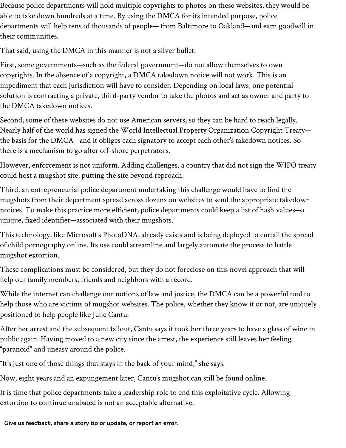Because police departments will hold multiple copyrights to photos on these websites, they would be able to take down hundreds at a time. By using the DMCA for its intended purpose, police departments will help tens of thousands of people— from Baltimore to Oakland—and earn goodwill in their communities.

That said, using the DMCA in this manner is not a silver bullet.

First, some governments—such as the federal government—do not allow themselves to own copyrights. In the absence of a copyright, a DMCA takedown notice will not work. This is an impediment that each jurisdiction will have to consider. Depending on local laws, one potential solution is contracting a private, third-party vendor to take the photos and act as owner and party to the DMCA takedown notices.

Second, some of these websites do not use American servers, so they can be hard to reach legally. Nearly half of the world has signed the World Intellectual Property Organization Copyright Treaty the basis for the DMCA—and it obliges each signatory to accept each other's takedown notices. So there is a mechanism to go after off-shore perpetrators.

However, enforcement is not uniform. Adding challenges, a country that did not sign the WIPO treaty could host a mugshot site, putting the site beyond reproach.

Third, an entrepreneurial police department undertaking this challenge would have to find the mugshots from their department spread across dozens on websites to send the appropriate takedown notices. To make this practice more efficient, police departments could keep a list of hash values—a unique, fixed identifier—associated with their mugshots.

This technology, like Microsoft's PhotoDNA, already exists and is being deployed to curtail the spread of child pornography online. Its use could streamline and largely automate the process to battle mugshot extortion.

These complications must be considered, but they do not foreclose on this novel approach that will help our family members, friends and neighbors with a record.

While the internet can challenge our notions of law and justice, the DMCA can be a powerful tool to help those who are victims of mugshot websites. The police, whether they know it or not, are uniquely positioned to help people like Julie Cantu.

After her arrest and the subsequent fallout, Cantu says it took her three years to have a glass of wine in public again. Having moved to a new city since the arrest, the experience still leaves her feeling "paranoid" and uneasy around the police.

"It's just one of those things that stays in the back of your mind," she says.

Now, eight years and an expungement later, Cantu's mugshot can still be found online.

It is time that police departments take a leadership role to end this exploitative cycle. Allowing extortion to continue unabated is not an acceptable alternative.

*Give us [feedback,](https://www.abajournal.com/contact?referrer=https://www.abajournal.com/lawscribbler/article/use_copyright_law_to_battle_against_mugshot_extortion) share a story tip or update, or report an error.*